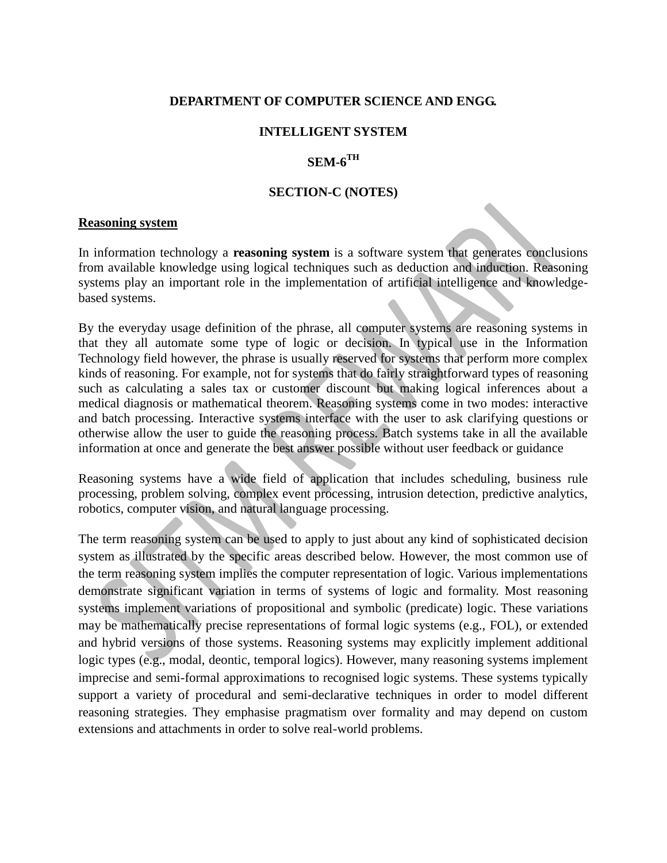### **DEPARTMENT OF COMPUTER SCIENCE AND ENGG.**

#### **INTELLIGENT SYSTEM**

# $\mathbf{SEM}\text{-}\mathbf{6}^{\text{TH}}$

#### **SECTION-C (NOTES)**

#### **Reasoning system**

In information technology a **reasoning system** is a software system that generates conclusions from available knowledge using logical techniques such as deduction and induction. Reasoning systems play an important role in the implementation of artificial intelligence and knowledgebased systems.

By the everyday usage definition of the phrase, all computer systems are reasoning systems in that they all automate some type of logic or decision. In typical use in the Information Technology field however, the phrase is usually reserved for systems that perform more complex kinds of reasoning. For example, not for systems that do fairly straightforward types of reasoning such as calculating a sales tax or customer discount but making logical inferences about a medical diagnosis or mathematical theorem. Reasoning systems come in two modes: interactive and batch processing. Interactive systems interface with the user to ask clarifying questions or otherwise allow the user to guide the reasoning process. Batch systems take in all the available information at once and generate the best answer possible without user feedback or guidance

Reasoning systems have a wide field of application that includes scheduling, business rule processing, problem solving, complex event processing, intrusion detection, predictive analytics, robotics, computer vision, and natural language processing.

The term reasoning system can be used to apply to just about any kind of sophisticated decision system as illustrated by the specific areas described below. However, the most common use of the term reasoning system implies the computer representation of logic. Various implementations demonstrate significant variation in terms of [systems of logic](https://en.wikipedia.org/wiki/Formal_system) and formality. Most reasoning systems implement variations of [propositional](https://en.wikipedia.org/wiki/Propositional_calculus) and [symbolic](https://en.wikipedia.org/wiki/Symbolic_logic) [\(predicate\)](https://en.wikipedia.org/wiki/Predicate_logic) logic. These variations may be mathematically precise representations of formal logic systems (e.g., [FOL\)](https://en.wikipedia.org/wiki/First-order_logic), or extended and [hybrid](https://en.wikipedia.org/wiki/Hybrid_logic) versions of those systems. Reasoning systems may explicitly implement additional logic types (e.g., [modal,](https://en.wikipedia.org/wiki/Modal_logic) [deontic,](https://en.wikipedia.org/wiki/Deontic_logic) [temporal](https://en.wikipedia.org/wiki/Temporal_logic) logics). However, many reasoning systems implement imprecise and semi-formal approximations to recognised logic systems. These systems typically support a variety of procedural and semi[-declarative](https://en.wikipedia.org/wiki/Declarative_programming) techniques in order to model different reasoning strategies. They emphasise pragmatism over formality and may depend on custom extensions and attachments in order to solve real-world problems.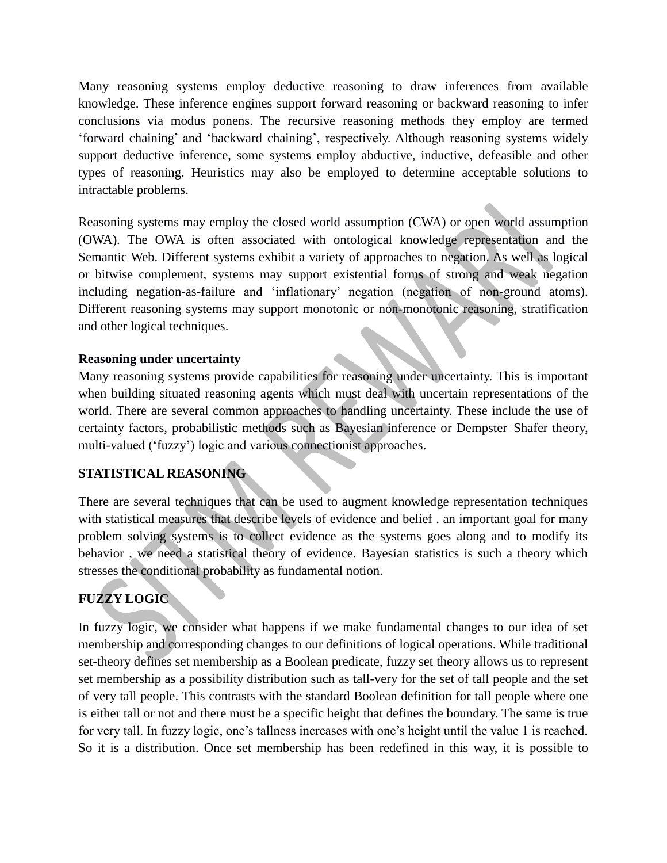Many reasoning systems employ [deductive reasoning](https://en.wikipedia.org/wiki/Deductive_reasoning) to draw [inferences](https://en.wikipedia.org/wiki/Inference) from available knowledge. These inference engines support forward reasoning or backward reasoning to infer conclusions via [modus ponens.](https://en.wikipedia.org/wiki/Modus_ponens) The [recursive](https://en.wikipedia.org/wiki/Recursion) reasoning methods they employ are termed ['forward chaining'](https://en.wikipedia.org/wiki/Forward_chaining) and ['backward chaining'](https://en.wikipedia.org/wiki/Backward_chaining), respectively. Although reasoning systems widely support deductive inference, some systems employ [abductive,](https://en.wikipedia.org/wiki/Abductive_reasoning) [inductive,](https://en.wikipedia.org/wiki/Inductive_reasoning) [defeasible](https://en.wikipedia.org/wiki/Defeasible_reasoning) and other types of reasoning. [Heuristics](https://en.wikipedia.org/wiki/Heuristic) may also be employed to determine acceptable solutions to [intractable problems.](https://en.wikipedia.org/wiki/Computational_complexity_theory#Intractability)

Reasoning systems may employ the [closed world assumption](https://en.wikipedia.org/wiki/Closed_world_assumption) (CWA) or [open world assumption](https://en.wikipedia.org/wiki/Open_world_assumption) (OWA). The OWA is often associated with [ontological](https://en.wikipedia.org/wiki/Ontology) knowledge representation and the [Semantic Web.](https://en.wikipedia.org/wiki/Semantic_Web) Different systems exhibit a variety of approaches to [negation.](https://en.wikipedia.org/wiki/Negation) As well as [logical](https://en.wikipedia.org/wiki/Logical_complement) or [bitwise complement,](https://en.wikipedia.org/wiki/Bitwise_complement) systems may support existential forms of strong and weak negation including [negation-as-failure](https://en.wikipedia.org/wiki/Negation_as_failure) and 'inflationary' negation (negation of non[-ground atoms\)](https://en.wikipedia.org/wiki/Ground_expression). Different reasoning systems may support [monotonic](https://en.wikipedia.org/wiki/Monotonic_function#Monotonic_logic) or [non-monotonic](https://en.wikipedia.org/wiki/Non-monotonic_logic) reasoning, [stratification](https://en.wikipedia.org/wiki/Stratification_%28mathematics%29) and other logical techniques.

### **Reasoning under uncertainty**

Many reasoning systems provide capabilities for reasoning under [uncertainty.](https://en.wikipedia.org/wiki/Uncertainty) This is important when building [situated](https://en.wikipedia.org/wiki/Situated) [reasoning agents](https://en.wikipedia.org/wiki/Distributed_Multi-Agent_Reasoning_System) which must deal with uncertain representations of the world. There are several common approaches to handling uncertainty. These include the use of certainty factors, [probabilistic](https://en.wikipedia.org/wiki/Probability) methods such as [Bayesian inference](https://en.wikipedia.org/wiki/Bayesian_inference) or [Dempster–Shafer theory,](https://en.wikipedia.org/wiki/Dempster–Shafer_theory) multi-valued (['fuzzy'](https://en.wikipedia.org/wiki/Fuzzy_logic)) logic and various [connectionist](https://en.wikipedia.org/wiki/Connectionism) approaches.

### **STATISTICAL REASONING**

There are several techniques that can be used to augment knowledge representation techniques with statistical measures that describe levels of evidence and belief . an important goal for many problem solving systems is to collect evidence as the systems goes along and to modify its behavior , we need a statistical theory of evidence. Bayesian statistics is such a theory which stresses the conditional probability as fundamental notion.

# **FUZZY LOGIC**

In fuzzy logic, we consider what happens if we make fundamental changes to our idea of set membership and corresponding changes to our definitions of logical operations. While traditional set-theory defines set membership as a Boolean predicate, fuzzy set theory allows us to represent set membership as a possibility distribution such as tall-very for the set of tall people and the set of very tall people. This contrasts with the standard Boolean definition for tall people where one is either tall or not and there must be a specific height that defines the boundary. The same is true for very tall. In fuzzy logic, one's tallness increases with one's height until the value 1 is reached. So it is a distribution. Once set membership has been redefined in this way, it is possible to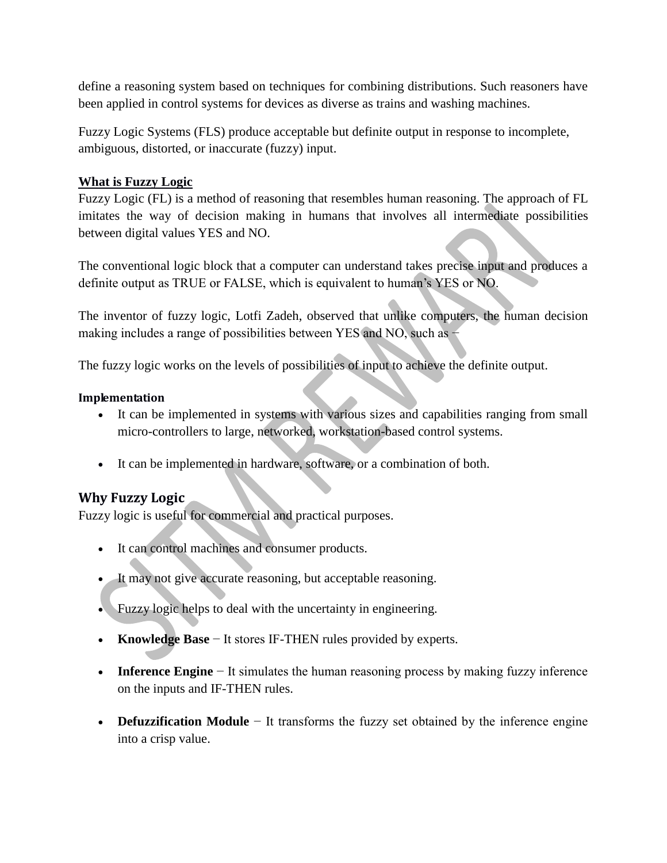define a reasoning system based on techniques for combining distributions. Such reasoners have been applied in control systems for devices as diverse as trains and washing machines.

Fuzzy Logic Systems (FLS) produce acceptable but definite output in response to incomplete, ambiguous, distorted, or inaccurate (fuzzy) input.

# **What is Fuzzy Logic**

Fuzzy Logic (FL) is a method of reasoning that resembles human reasoning. The approach of FL imitates the way of decision making in humans that involves all intermediate possibilities between digital values YES and NO.

The conventional logic block that a computer can understand takes precise input and produces a definite output as TRUE or FALSE, which is equivalent to human's YES or NO.

The inventor of fuzzy logic, Lotfi Zadeh, observed that unlike computers, the human decision making includes a range of possibilities between YES and NO, such as −

The fuzzy logic works on the levels of possibilities of input to achieve the definite output.

### **Implementation**

- It can be implemented in systems with various sizes and capabilities ranging from small micro-controllers to large, networked, workstation-based control systems.
- It can be implemented in hardware, software, or a combination of both.

# **Why Fuzzy Logic**

Fuzzy logic is useful for commercial and practical purposes.

- It can control machines and consumer products.
- It may not give accurate reasoning, but acceptable reasoning.
- Fuzzy logic helps to deal with the uncertainty in engineering.
- **Knowledge Base** − It stores IF-THEN rules provided by experts.
- **Inference Engine** − It simulates the human reasoning process by making fuzzy inference on the inputs and IF-THEN rules.
- **• Defuzzification Module** − It transforms the fuzzy set obtained by the inference engine into a crisp value.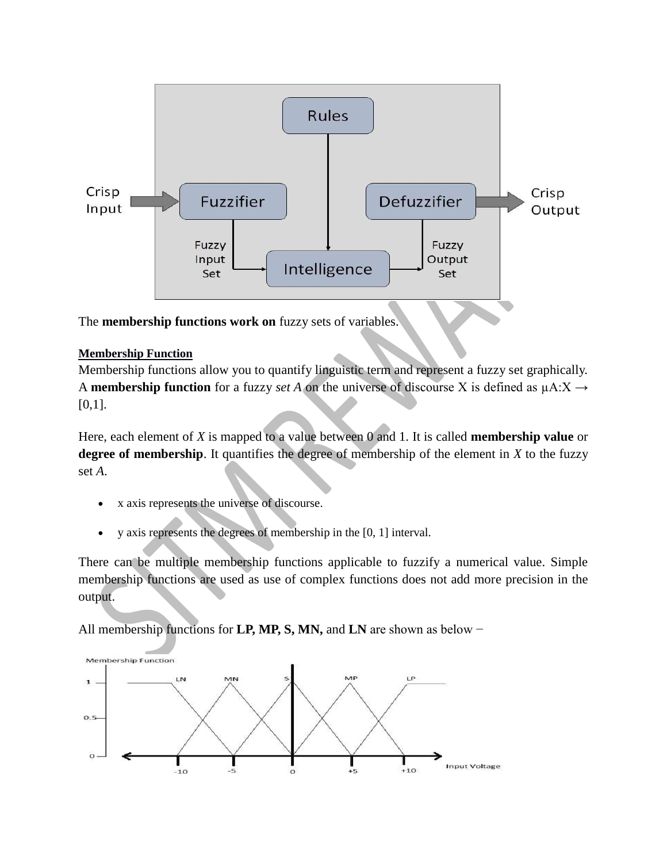

The **membership functions work on** fuzzy sets of variables.

### **Membership Function**

Membership functions allow you to quantify linguistic term and represent a fuzzy set graphically. A **membership function** for a fuzzy *set A* on the universe of discourse X is defined as  $\mu A: X \rightarrow$ [0,1].

Here, each element of *X* is mapped to a value between 0 and 1. It is called **membership value** or **degree of membership**. It quantifies the degree of membership of the element in *X* to the fuzzy set *A*.

- x axis represents the universe of discourse.
- y axis represents the degrees of membership in the [0, 1] interval.

There can be multiple membership functions applicable to fuzzify a numerical value. Simple membership functions are used as use of complex functions does not add more precision in the output.

All membership functions for **LP, MP, S, MN,** and **LN** are shown as below −

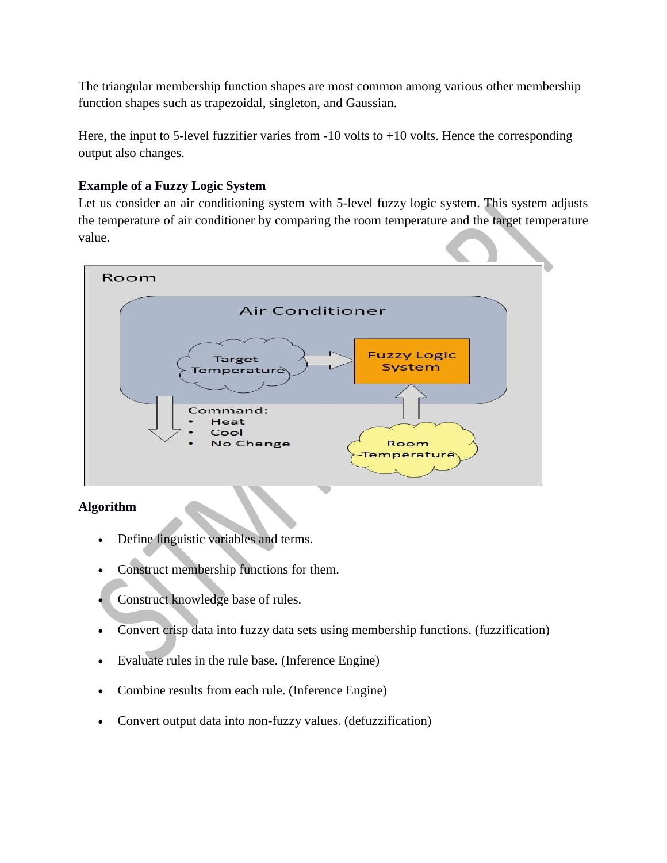The triangular membership function shapes are most common among various other membership function shapes such as trapezoidal, singleton, and Gaussian.

Here, the input to 5-level fuzzifier varies from  $-10$  volts to  $+10$  volts. Hence the corresponding output also changes.

# **Example of a Fuzzy Logic System**

Let us consider an air conditioning system with 5-level fuzzy logic system. This system adjusts the temperature of air conditioner by comparing the room temperature and the target temperature value.



# **Algorithm**

- Define linguistic variables and terms.
- Construct membership functions for them.
- Construct knowledge base of rules.
- Convert crisp data into fuzzy data sets using membership functions. (fuzzification)
- Evaluate rules in the rule base. (Inference Engine)
- Combine results from each rule. (Inference Engine)
- Convert output data into non-fuzzy values. (defuzzification)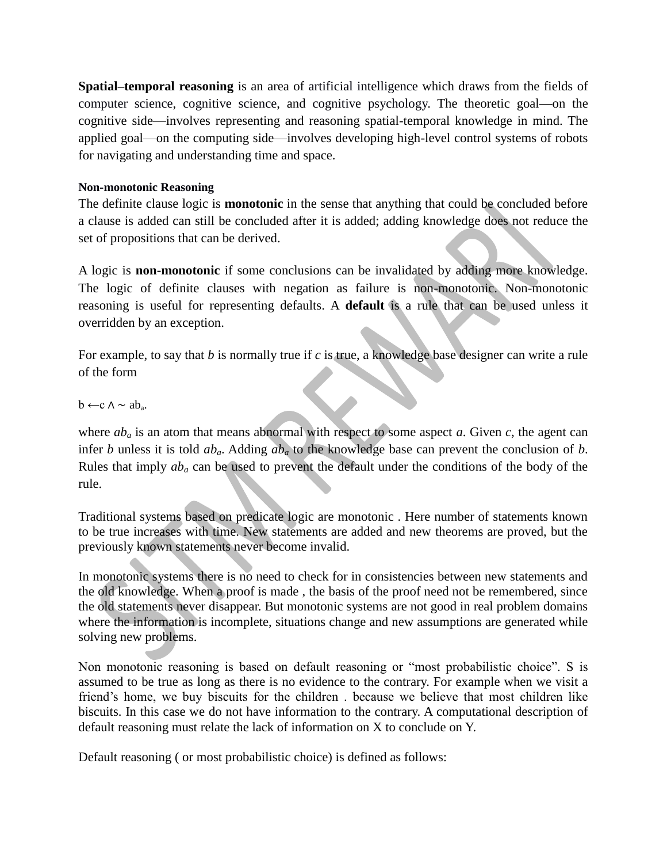**Spatial–temporal reasoning** is an area of [artificial intelligence](https://en.wikipedia.org/wiki/Artificial_Intelligence) which draws from the fields of [computer science,](https://en.wikipedia.org/wiki/Computer_science) [cognitive science,](https://en.wikipedia.org/wiki/Cognitive_science) and [cognitive psychology.](https://en.wikipedia.org/wiki/Cognitive_psychology) The theoretic goal—on the cognitive side—involves representing and reasoning spatial-temporal knowledge in mind. The applied goal—on the computing side—involves developing high-level control systems of robots for navigating and understanding time and space.

### **Non-monotonic Reasoning**

The definite clause logic is **monotonic** in the sense that anything that could be concluded before a clause is added can still be concluded after it is added; adding knowledge does not reduce the set of propositions that can be derived.

A logic is **non-monotonic** if some conclusions can be invalidated by adding more knowledge. The logic of definite clauses with negation as failure is non-monotonic. Non-monotonic reasoning is useful for representing defaults. A **default** is a rule that can be used unless it overridden by an exception.

For example, to say that *b* is normally true if *c* is true, a knowledge base designer can write a rule of the form

 $b \leftarrow c \land \sim ab_a$ .

where  $ab_a$  is an atom that means abnormal with respect to some aspect *a*. Given *c*, the agent can infer *b* unless it is told *aba*. Adding *ab<sup>a</sup>* to the knowledge base can prevent the conclusion of *b*. Rules that imply *ab<sup>a</sup>* can be used to prevent the default under the conditions of the body of the rule.

Traditional systems based on predicate logic are monotonic . Here number of statements known to be true increases with time. New statements are added and new theorems are proved, but the previously known statements never become invalid.

In monotonic systems there is no need to check for in consistencies between new statements and the old knowledge. When a proof is made , the basis of the proof need not be remembered, since the old statements never disappear. But monotonic systems are not good in real problem domains where the information is incomplete, situations change and new assumptions are generated while solving new problems.

Non monotonic reasoning is based on default reasoning or "most probabilistic choice". S is assumed to be true as long as there is no evidence to the contrary. For example when we visit a friend's home, we buy biscuits for the children . because we believe that most children like biscuits. In this case we do not have information to the contrary. A computational description of default reasoning must relate the lack of information on X to conclude on Y.

Default reasoning ( or most probabilistic choice) is defined as follows: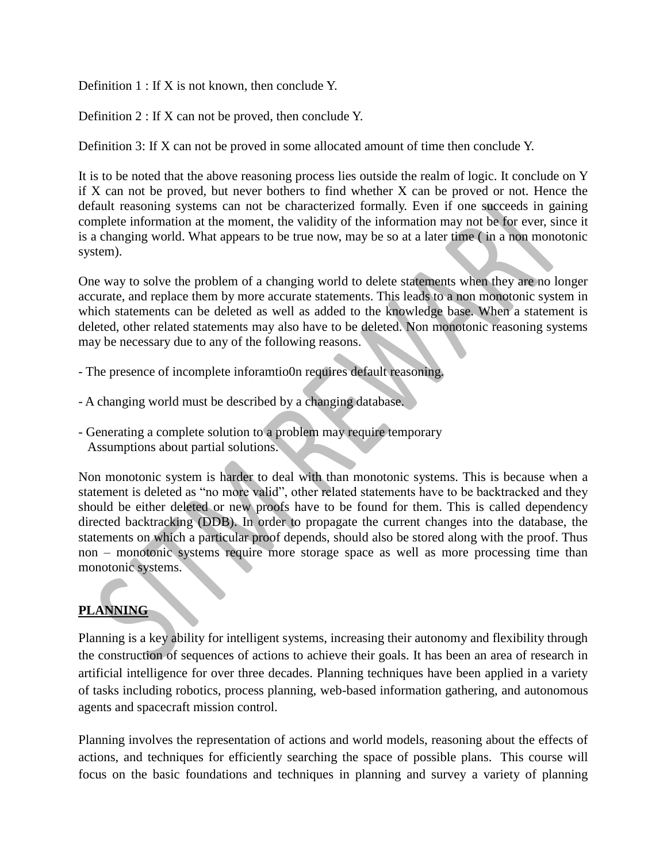Definition  $1:$  If X is not known, then conclude Y.

Definition 2 : If X can not be proved, then conclude Y.

Definition 3: If X can not be proved in some allocated amount of time then conclude Y.

It is to be noted that the above reasoning process lies outside the realm of logic. It conclude on Y if X can not be proved, but never bothers to find whether X can be proved or not. Hence the default reasoning systems can not be characterized formally. Even if one succeeds in gaining complete information at the moment, the validity of the information may not be for ever, since it is a changing world. What appears to be true now, may be so at a later time ( in a non monotonic system).

One way to solve the problem of a changing world to delete statements when they are no longer accurate, and replace them by more accurate statements. This leads to a non monotonic system in which statements can be deleted as well as added to the knowledge base. When a statement is deleted, other related statements may also have to be deleted. Non monotonic reasoning systems may be necessary due to any of the following reasons.

- The presence of incomplete inforamtio0n requires default reasoning.
- A changing world must be described by a changing database.
- Generating a complete solution to a problem may require temporary Assumptions about partial solutions.

Non monotonic system is harder to deal with than monotonic systems. This is because when a statement is deleted as "no more valid", other related statements have to be backtracked and they should be either deleted or new proofs have to be found for them. This is called dependency directed backtracking (DDB). In order to propagate the current changes into the database, the statements on which a particular proof depends, should also be stored along with the proof. Thus non – monotonic systems require more storage space as well as more processing time than monotonic systems.

# **PLANNING**

Planning is a key ability for intelligent systems, increasing their autonomy and flexibility through the construction of sequences of actions to achieve their goals. It has been an area of research in artificial intelligence for over three decades. Planning techniques have been applied in a variety of tasks including robotics, process planning, web-based information gathering, and autonomous agents and spacecraft mission control.

Planning involves the representation of actions and world models, reasoning about the effects of actions, and techniques for efficiently searching the space of possible plans. This course will focus on the basic foundations and techniques in planning and survey a variety of planning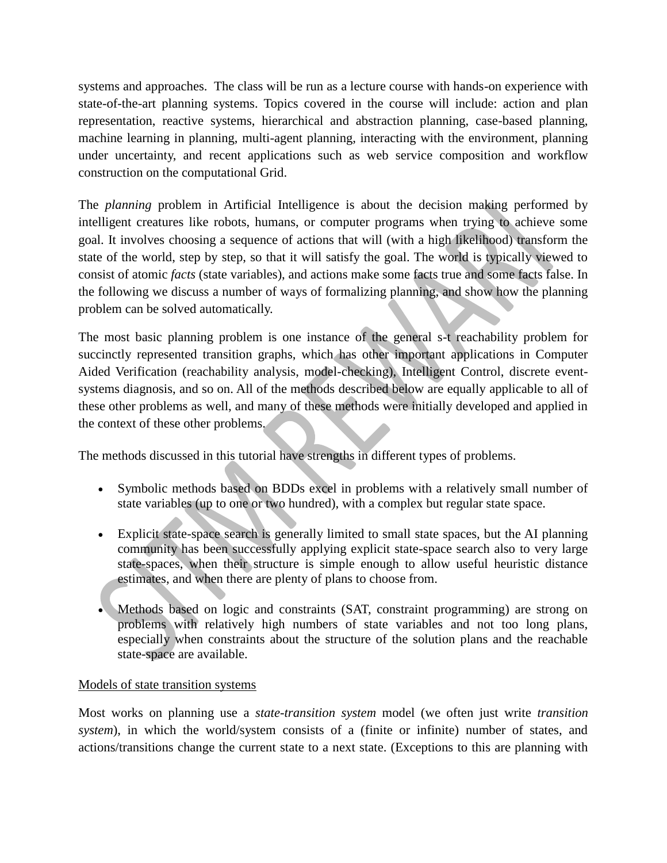systems and approaches. The class will be run as a lecture course with hands-on experience with state-of-the-art planning systems. Topics covered in the course will include: action and plan representation, reactive systems, hierarchical and abstraction planning, case-based planning, machine learning in planning, multi-agent planning, interacting with the environment, planning under uncertainty, and recent applications such as web service composition and workflow construction on the computational Grid.

The *planning* problem in Artificial Intelligence is about the decision making performed by intelligent creatures like robots, humans, or computer programs when trying to achieve some goal. It involves choosing a sequence of actions that will (with a high likelihood) transform the state of the world, step by step, so that it will satisfy the goal. The world is typically viewed to consist of atomic *facts* (state variables), and actions make some facts true and some facts false. In the following we discuss a number of ways of formalizing planning, and show how the planning problem can be solved automatically.

The most basic planning problem is one instance of the general s-t reachability problem for succinctly represented transition graphs, which has other important applications in Computer Aided Verification (reachability analysis, model-checking), Intelligent Control, discrete eventsystems diagnosis, and so on. All of the methods described below are equally applicable to all of these other problems as well, and many of these methods were initially developed and applied in the context of these other problems.

The methods discussed in this tutorial have strengths in different types of problems.

- Symbolic methods based on BDDs excel in problems with a relatively small number of state variables (up to one or two hundred), with a complex but regular state space.
- Explicit state-space search is generally limited to small state spaces, but the AI planning community has been successfully applying explicit state-space search also to very large state-spaces, when their structure is simple enough to allow useful heuristic distance estimates, and when there are plenty of plans to choose from.
- Methods based on logic and constraints (SAT, constraint programming) are strong on problems with relatively high numbers of state variables and not too long plans, especially when constraints about the structure of the solution plans and the reachable state-space are available.

### Models of state transition systems

Most works on planning use a *state-transition system* model (we often just write *transition system*), in which the world/system consists of a (finite or infinite) number of states, and actions/transitions change the current state to a next state. (Exceptions to this are planning with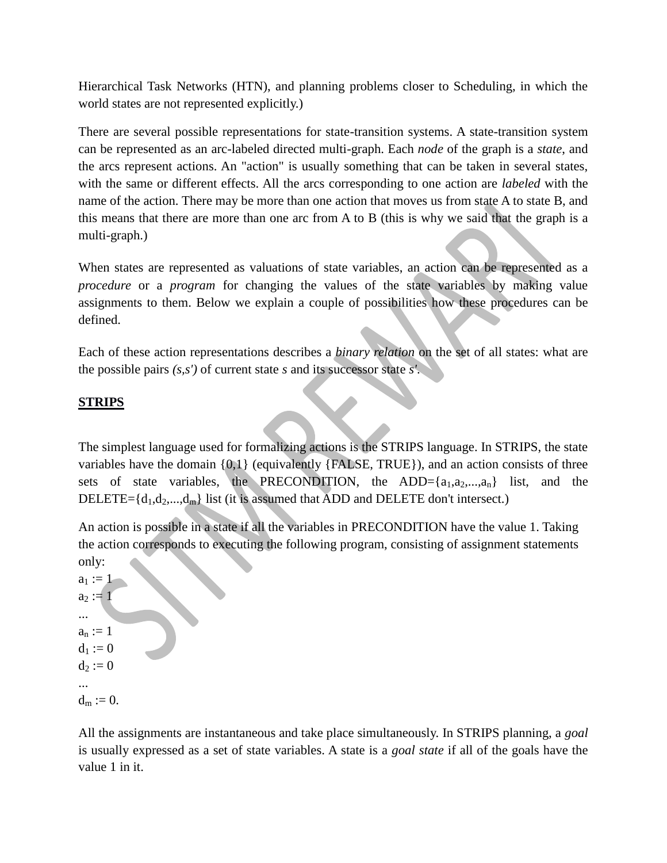Hierarchical Task Networks (HTN), and planning problems closer to Scheduling, in which the world states are not represented explicitly.)

There are several possible representations for state-transition systems. A state-transition system can be represented as an arc-labeled directed multi-graph. Each *node* of the graph is a *state*, and the arcs represent actions. An "action" is usually something that can be taken in several states, with the same or different effects. All the arcs corresponding to one action are *labeled* with the name of the action. There may be more than one action that moves us from state A to state B, and this means that there are more than one arc from A to B (this is why we said that the graph is a multi-graph.)

When states are represented as valuations of state variables, an action can be represented as a *procedure* or a *program* for changing the values of the state variables by making value assignments to them. Below we explain a couple of possibilities how these procedures can be defined.

Each of these action representations describes a *binary relation* on the set of all states: what are the possible pairs *(s,s')* of current state *s* and its successor state *s'*.

# **STRIPS**

The simplest language used for formalizing actions is the STRIPS language. In STRIPS, the state variables have the domain {0,1} (equivalently {FALSE, TRUE}), and an action consists of three sets of state variables, the PRECONDITION, the ADD= $\{a_1, a_2, ..., a_n\}$  list, and the DELETE= $\{d_1, d_2, ..., d_m\}$  list (it is assumed that ADD and DELETE don't intersect.)

An action is possible in a state if all the variables in PRECONDITION have the value 1. Taking the action corresponds to executing the following program, consisting of assignment statements only:

 $a_1 := 1$  $a_2 := 1$ ...  $a_n := 1$  $d_1 := 0$  $d_2 := 0$ ...  $d_m := 0.$ 

All the assignments are instantaneous and take place simultaneously. In STRIPS planning, a *goal* is usually expressed as a set of state variables. A state is a *goal state* if all of the goals have the value 1 in it.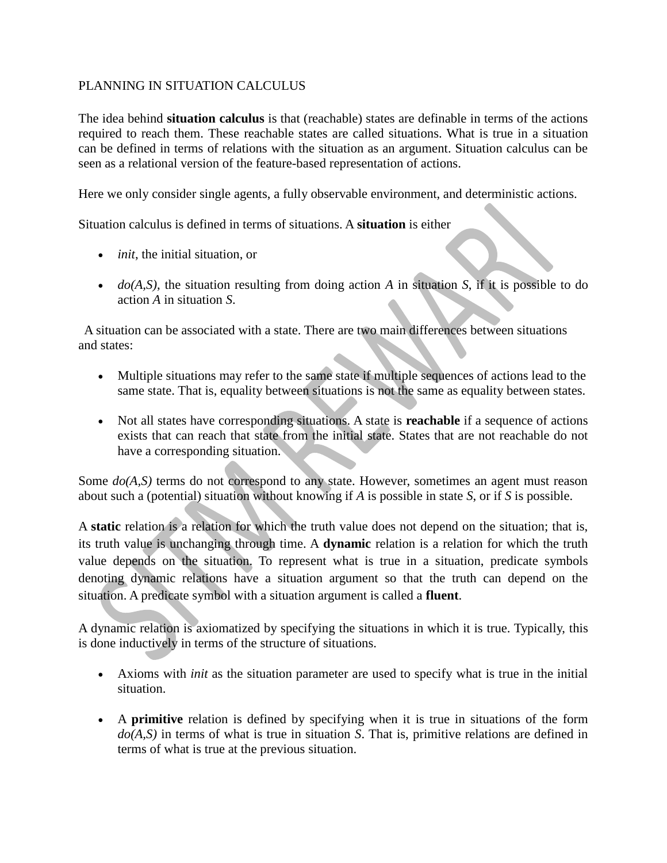### PLANNING IN SITUATION CALCULUS

The idea behind **situation calculus** is that (reachable) states are definable in terms of the actions required to reach them. These reachable states are called situations. What is true in a situation can be defined in terms of relations with the situation as an argument. Situation calculus can be seen as a relational version of the [feature-based representation of actions.](http://artint.info/html/ArtInt_203.html)

Here we only consider single agents, a fully observable environment, and deterministic actions.

Situation calculus is defined in terms of situations. A **situation** is either

- *init*, the initial situation, or
- $\bullet$  *do(A,S)*, the situation resulting from doing action *A* in situation *S*, if it is possible to do action *A* in situation *S*.

A situation can be associated with a state. There are two main differences between situations and states:

- Multiple situations may refer to the same state if multiple sequences of actions lead to the same state. That is, equality between situations is not the same as equality between states.
- Not all states have corresponding situations. A state is **reachable** if a sequence of actions exists that can reach that state from the initial state. States that are not reachable do not have a corresponding situation.

Some  $do(A, S)$  terms do not correspond to any state. However, sometimes an agent must reason about such a (potential) situation without knowing if *A* is possible in state *S*, or if *S* is possible.

A **static** relation is a relation for which the truth value does not depend on the situation; that is, its truth value is unchanging through time. A **dynamic** relation is a relation for which the truth value depends on the situation. To represent what is true in a situation, predicate symbols denoting dynamic relations have a situation argument so that the truth can depend on the situation. A predicate symbol with a situation argument is called a **fluent**.

A dynamic relation is axiomatized by specifying the situations in which it is true. Typically, this is done inductively in terms of the structure of situations.

- Axioms with *init* as the situation parameter are used to specify what is true in the initial situation.
- A **primitive** relation is defined by specifying when it is true in situations of the form *do(A,S)* in terms of what is true in situation *S*. That is, primitive relations are defined in terms of what is true at the previous situation.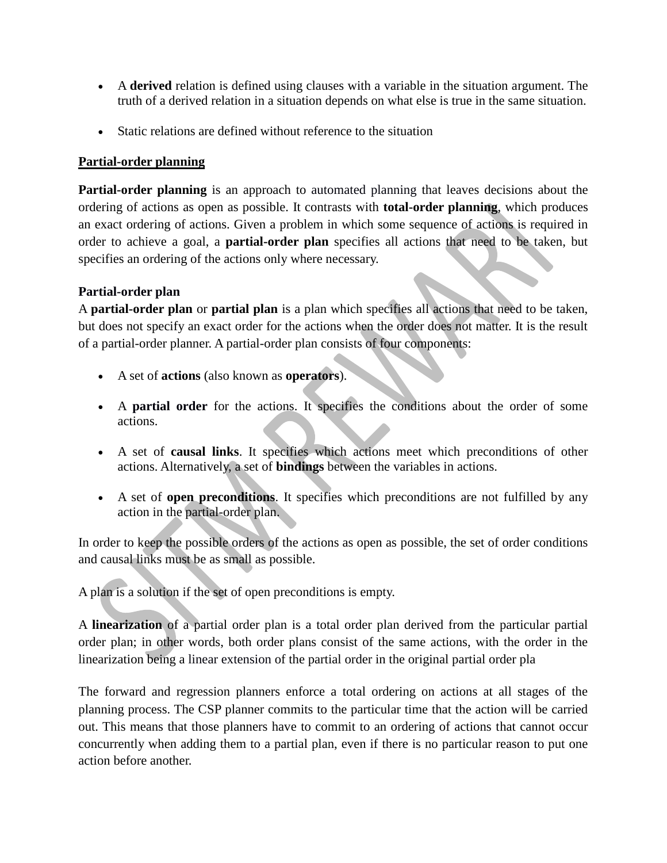- A **derived** relation is defined using clauses with a variable in the situation argument. The truth of a derived relation in a situation depends on what else is true in the same situation.
- Static relations are defined without reference to the situation

# **Partial-order planning**

**Partial-order planning** is an approach to [automated planning](https://en.wikipedia.org/wiki/Automated_planning) that leaves decisions about the ordering of actions as open as possible. It contrasts with **total-order planning**, which produces an exact ordering of actions. Given a problem in which some sequence of actions is required in order to achieve a goal, a **partial-order plan** specifies all actions that need to be taken, but specifies an ordering of the actions only where necessary.

# **Partial-order plan**

A **partial-order plan** or **partial plan** is a plan which specifies all actions that need to be taken, but does not specify an exact order for the actions when the order does not matter. It is the result of a partial-order planner. A partial-order plan consists of four components:

- A set of **actions** (also known as **operators**).
- A **[partial order](https://en.wikipedia.org/wiki/Partial_order)** for the actions. It specifies the conditions about the order of some actions.
- A set of **causal links**. It specifies which actions meet which preconditions of other actions. Alternatively, a set of **bindings** between the variables in actions.
- A set of **open preconditions**. It specifies which preconditions are not fulfilled by any action in the partial-order plan.

In order to keep the possible orders of the actions as open as possible, the set of order conditions and causal links must be as small as possible.

A plan is a solution if the set of open preconditions is empty.

A **linearization** of a partial order plan is a total order plan derived from the particular partial order plan; in other words, both order plans consist of the same actions, with the order in the linearization being a [linear extension](https://en.wikipedia.org/wiki/Linear_extension) of the partial order in the original partial order pla

The forward and regression planners enforce a total ordering on actions at all stages of the planning process. The CSP planner commits to the particular time that the action will be carried out. This means that those planners have to commit to an ordering of actions that cannot occur concurrently when adding them to a partial plan, even if there is no particular reason to put one action before another.